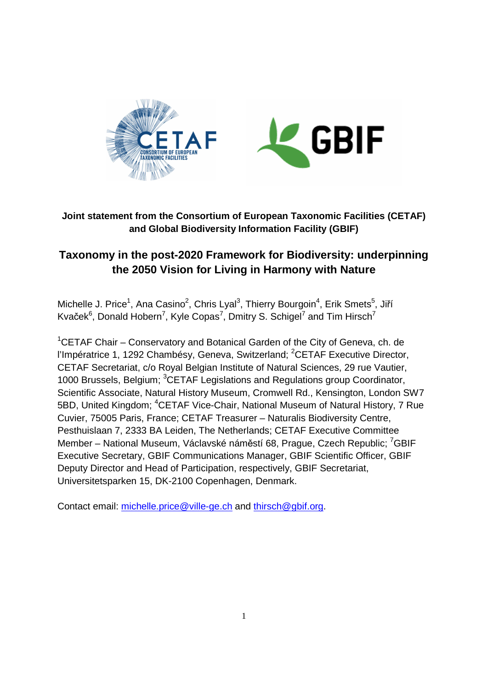

# **Joint statement from the Consortium of European Taxonomic Facilities (CETAF) and Global Biodiversity Information Facility (GBIF)**

# **Taxonomy in the post-2020 Framework for Biodiversity: underpinning the 2050 Vision for Living in Harmony with Nature**

Michelle J. Price<sup>1</sup>, Ana Casino<sup>2</sup>, Chris Lyal<sup>3</sup>, Thierry Bourgoin<sup>4</sup>, Erik Smets<sup>5</sup>, Jiří Kvaček $^6$ , Donald Hobern<sup>7</sup>, Kyle Copas<sup>7</sup>, Dmitry S. Schigel<sup>7</sup> and Tim Hirsch<sup>7</sup>

<sup>1</sup>CETAF Chair – Conservatory and Botanical Garden of the City of Geneva, ch. de l'Impératrice 1, 1292 Chambésy, Geneva, Switzerland: <sup>2</sup>CETAF Executive Director, CETAF Secretariat, c/o Royal Belgian Institute of Natural Sciences, 29 rue Vautier, 1000 Brussels, Belgium; <sup>3</sup>CETAF Legislations and Regulations group Coordinator, Scientific Associate, Natural History Museum, Cromwell Rd., Kensington, London SW7 5BD, United Kingdom; <sup>4</sup>CETAF Vice-Chair, National Museum of Natural History, 7 Rue Cuvier, 75005 Paris, France; CETAF Treasurer – Naturalis Biodiversity Centre, Pesthuislaan 7, 2333 BA Leiden, The Netherlands; CETAF Executive Committee Member – National Museum, Václavské náměstí 68, Prague, Czech Republic; <sup>7</sup>GBIF Executive Secretary, GBIF Communications Manager, GBIF Scientific Officer, GBIF Deputy Director and Head of Participation, respectively, GBIF Secretariat, Universitetsparken 15, DK-2100 Copenhagen, Denmark.

Contact email: michelle.price@ville-ge.ch and thirsch@gbif.org.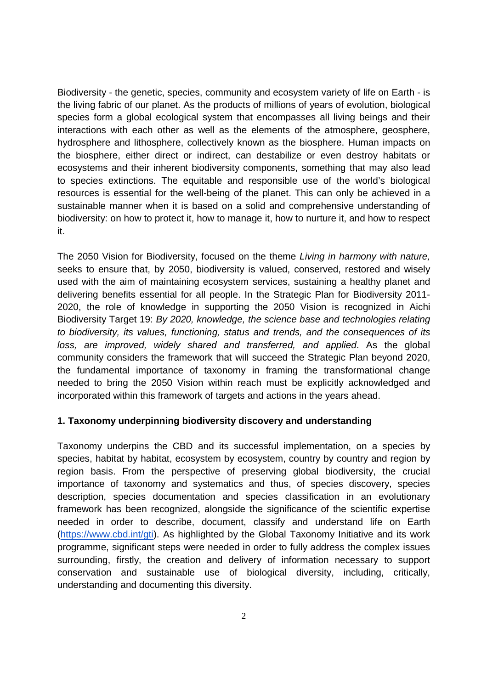Biodiversity - the genetic, species, community and ecosystem variety of life on Earth - is the living fabric of our planet. As the products of millions of years of evolution, biological species form a global ecological system that encompasses all living beings and their interactions with each other as well as the elements of the atmosphere, geosphere, hydrosphere and lithosphere, collectively known as the biosphere. Human impacts on the biosphere, either direct or indirect, can destabilize or even destroy habitats or ecosystems and their inherent biodiversity components, something that may also lead to species extinctions. The equitable and responsible use of the world's biological resources is essential for the well-being of the planet. This can only be achieved in a sustainable manner when it is based on a solid and comprehensive understanding of biodiversity: on how to protect it, how to manage it, how to nurture it, and how to respect it.

The 2050 Vision for Biodiversity, focused on the theme Living in harmony with nature, seeks to ensure that, by 2050, biodiversity is valued, conserved, restored and wisely used with the aim of maintaining ecosystem services, sustaining a healthy planet and delivering benefits essential for all people. In the Strategic Plan for Biodiversity 2011- 2020, the role of knowledge in supporting the 2050 Vision is recognized in Aichi Biodiversity Target 19: By 2020, knowledge, the science base and technologies relating to biodiversity, its values, functioning, status and trends, and the consequences of its loss, are improved, widely shared and transferred, and applied. As the global community considers the framework that will succeed the Strategic Plan beyond 2020, the fundamental importance of taxonomy in framing the transformational change needed to bring the 2050 Vision within reach must be explicitly acknowledged and incorporated within this framework of targets and actions in the years ahead.

### **1. Taxonomy underpinning biodiversity discovery and understanding**

Taxonomy underpins the CBD and its successful implementation, on a species by species, habitat by habitat, ecosystem by ecosystem, country by country and region by region basis. From the perspective of preserving global biodiversity, the crucial importance of taxonomy and systematics and thus, of species discovery, species description, species documentation and species classification in an evolutionary framework has been recognized, alongside the significance of the scientific expertise needed in order to describe, document, classify and understand life on Earth (https://www.cbd.int/gti). As highlighted by the Global Taxonomy Initiative and its work programme, significant steps were needed in order to fully address the complex issues surrounding, firstly, the creation and delivery of information necessary to support conservation and sustainable use of biological diversity, including, critically, understanding and documenting this diversity.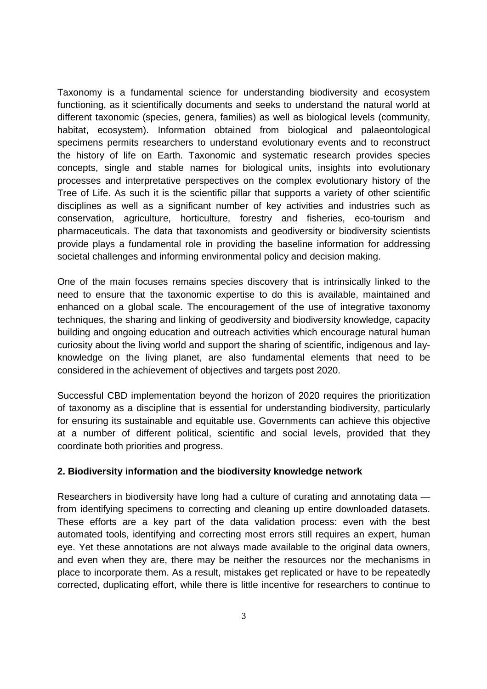Taxonomy is a fundamental science for understanding biodiversity and ecosystem functioning, as it scientifically documents and seeks to understand the natural world at different taxonomic (species, genera, families) as well as biological levels (community, habitat, ecosystem). Information obtained from biological and palaeontological specimens permits researchers to understand evolutionary events and to reconstruct the history of life on Earth. Taxonomic and systematic research provides species concepts, single and stable names for biological units, insights into evolutionary processes and interpretative perspectives on the complex evolutionary history of the Tree of Life. As such it is the scientific pillar that supports a variety of other scientific disciplines as well as a significant number of key activities and industries such as conservation, agriculture, horticulture, forestry and fisheries, eco-tourism and pharmaceuticals. The data that taxonomists and geodiversity or biodiversity scientists provide plays a fundamental role in providing the baseline information for addressing societal challenges and informing environmental policy and decision making.

One of the main focuses remains species discovery that is intrinsically linked to the need to ensure that the taxonomic expertise to do this is available, maintained and enhanced on a global scale. The encouragement of the use of integrative taxonomy techniques, the sharing and linking of geodiversity and biodiversity knowledge, capacity building and ongoing education and outreach activities which encourage natural human curiosity about the living world and support the sharing of scientific, indigenous and layknowledge on the living planet, are also fundamental elements that need to be considered in the achievement of objectives and targets post 2020.

Successful CBD implementation beyond the horizon of 2020 requires the prioritization of taxonomy as a discipline that is essential for understanding biodiversity, particularly for ensuring its sustainable and equitable use. Governments can achieve this objective at a number of different political, scientific and social levels, provided that they coordinate both priorities and progress.

#### **2. Biodiversity information and the biodiversity knowledge network**

Researchers in biodiversity have long had a culture of curating and annotating data from identifying specimens to correcting and cleaning up entire downloaded datasets. These efforts are a key part of the data validation process: even with the best automated tools, identifying and correcting most errors still requires an expert, human eye. Yet these annotations are not always made available to the original data owners, and even when they are, there may be neither the resources nor the mechanisms in place to incorporate them. As a result, mistakes get replicated or have to be repeatedly corrected, duplicating effort, while there is little incentive for researchers to continue to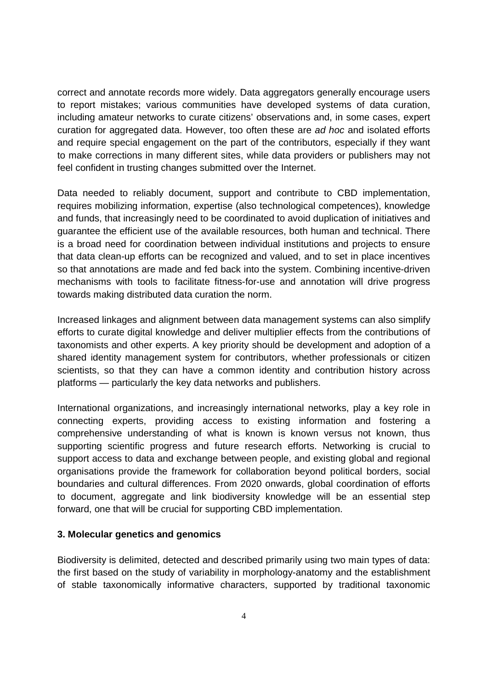correct and annotate records more widely. Data aggregators generally encourage users to report mistakes; various communities have developed systems of data curation, including amateur networks to curate citizens' observations and, in some cases, expert curation for aggregated data. However, too often these are ad hoc and isolated efforts and require special engagement on the part of the contributors, especially if they want to make corrections in many different sites, while data providers or publishers may not feel confident in trusting changes submitted over the Internet.

Data needed to reliably document, support and contribute to CBD implementation, requires mobilizing information, expertise (also technological competences), knowledge and funds, that increasingly need to be coordinated to avoid duplication of initiatives and guarantee the efficient use of the available resources, both human and technical. There is a broad need for coordination between individual institutions and projects to ensure that data clean-up efforts can be recognized and valued, and to set in place incentives so that annotations are made and fed back into the system. Combining incentive-driven mechanisms with tools to facilitate fitness-for-use and annotation will drive progress towards making distributed data curation the norm.

Increased linkages and alignment between data management systems can also simplify efforts to curate digital knowledge and deliver multiplier effects from the contributions of taxonomists and other experts. A key priority should be development and adoption of a shared identity management system for contributors, whether professionals or citizen scientists, so that they can have a common identity and contribution history across platforms — particularly the key data networks and publishers.

International organizations, and increasingly international networks, play a key role in connecting experts, providing access to existing information and fostering a comprehensive understanding of what is known is known versus not known, thus supporting scientific progress and future research efforts. Networking is crucial to support access to data and exchange between people, and existing global and regional organisations provide the framework for collaboration beyond political borders, social boundaries and cultural differences. From 2020 onwards, global coordination of efforts to document, aggregate and link biodiversity knowledge will be an essential step forward, one that will be crucial for supporting CBD implementation.

#### **3. Molecular genetics and genomics**

Biodiversity is delimited, detected and described primarily using two main types of data: the first based on the study of variability in morphology-anatomy and the establishment of stable taxonomically informative characters, supported by traditional taxonomic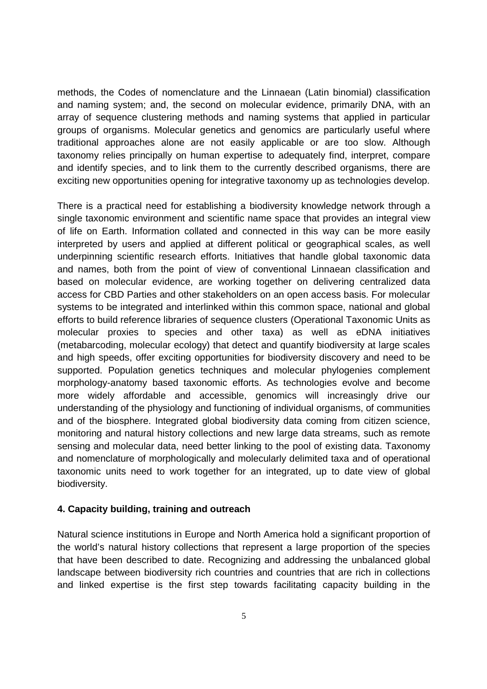methods, the Codes of nomenclature and the Linnaean (Latin binomial) classification and naming system; and, the second on molecular evidence, primarily DNA, with an array of sequence clustering methods and naming systems that applied in particular groups of organisms. Molecular genetics and genomics are particularly useful where traditional approaches alone are not easily applicable or are too slow. Although taxonomy relies principally on human expertise to adequately find, interpret, compare and identify species, and to link them to the currently described organisms, there are exciting new opportunities opening for integrative taxonomy up as technologies develop.

There is a practical need for establishing a biodiversity knowledge network through a single taxonomic environment and scientific name space that provides an integral view of life on Earth. Information collated and connected in this way can be more easily interpreted by users and applied at different political or geographical scales, as well underpinning scientific research efforts. Initiatives that handle global taxonomic data and names, both from the point of view of conventional Linnaean classification and based on molecular evidence, are working together on delivering centralized data access for CBD Parties and other stakeholders on an open access basis. For molecular systems to be integrated and interlinked within this common space, national and global efforts to build reference libraries of sequence clusters (Operational Taxonomic Units as molecular proxies to species and other taxa) as well as eDNA initiatives (metabarcoding, molecular ecology) that detect and quantify biodiversity at large scales and high speeds, offer exciting opportunities for biodiversity discovery and need to be supported. Population genetics techniques and molecular phylogenies complement morphology-anatomy based taxonomic efforts. As technologies evolve and become more widely affordable and accessible, genomics will increasingly drive our understanding of the physiology and functioning of individual organisms, of communities and of the biosphere. Integrated global biodiversity data coming from citizen science, monitoring and natural history collections and new large data streams, such as remote sensing and molecular data, need better linking to the pool of existing data. Taxonomy and nomenclature of morphologically and molecularly delimited taxa and of operational taxonomic units need to work together for an integrated, up to date view of global biodiversity.

## **4. Capacity building, training and outreach**

Natural science institutions in Europe and North America hold a significant proportion of the world's natural history collections that represent a large proportion of the species that have been described to date. Recognizing and addressing the unbalanced global landscape between biodiversity rich countries and countries that are rich in collections and linked expertise is the first step towards facilitating capacity building in the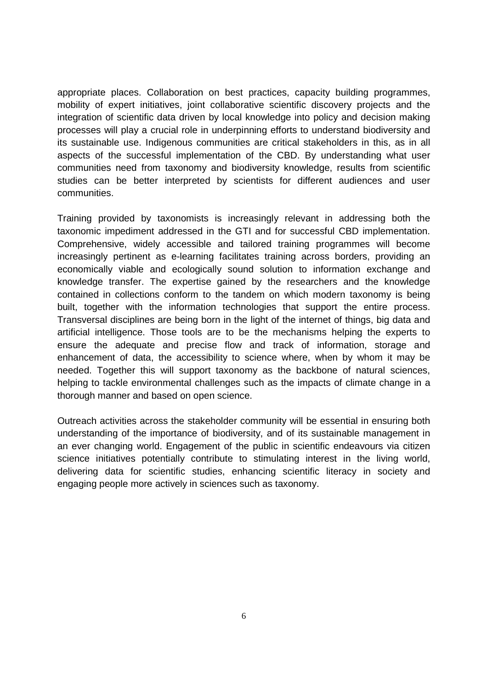appropriate places. Collaboration on best practices, capacity building programmes, mobility of expert initiatives, joint collaborative scientific discovery projects and the integration of scientific data driven by local knowledge into policy and decision making processes will play a crucial role in underpinning efforts to understand biodiversity and its sustainable use. Indigenous communities are critical stakeholders in this, as in all aspects of the successful implementation of the CBD. By understanding what user communities need from taxonomy and biodiversity knowledge, results from scientific studies can be better interpreted by scientists for different audiences and user communities.

Training provided by taxonomists is increasingly relevant in addressing both the taxonomic impediment addressed in the GTI and for successful CBD implementation. Comprehensive, widely accessible and tailored training programmes will become increasingly pertinent as e-learning facilitates training across borders, providing an economically viable and ecologically sound solution to information exchange and knowledge transfer. The expertise gained by the researchers and the knowledge contained in collections conform to the tandem on which modern taxonomy is being built, together with the information technologies that support the entire process. Transversal disciplines are being born in the light of the internet of things, big data and artificial intelligence. Those tools are to be the mechanisms helping the experts to ensure the adequate and precise flow and track of information, storage and enhancement of data, the accessibility to science where, when by whom it may be needed. Together this will support taxonomy as the backbone of natural sciences, helping to tackle environmental challenges such as the impacts of climate change in a thorough manner and based on open science.

Outreach activities across the stakeholder community will be essential in ensuring both understanding of the importance of biodiversity, and of its sustainable management in an ever changing world. Engagement of the public in scientific endeavours via citizen science initiatives potentially contribute to stimulating interest in the living world, delivering data for scientific studies, enhancing scientific literacy in society and engaging people more actively in sciences such as taxonomy.